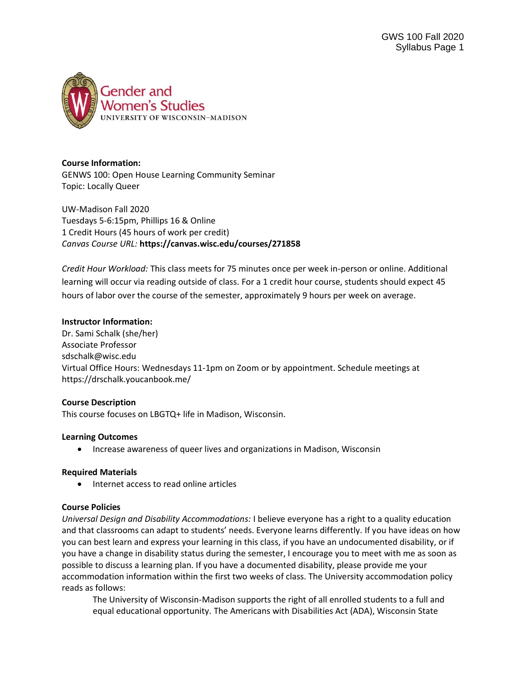

#### **Course Information:**

GENWS 100: Open House Learning Community Seminar Topic: Locally Queer

UW-Madison Fall 2020 Tuesdays 5-6:15pm, Phillips 16 & Online 1 Credit Hours (45 hours of work per credit) *Canvas Course URL:* **https://canvas.wisc.edu/courses/271858**

*Credit Hour Workload:* This class meets for 75 minutes once per week in-person or online. Additional learning will occur via reading outside of class. For a 1 credit hour course, students should expect 45 hours of labor over the course of the semester, approximately 9 hours per week on average.

#### **Instructor Information:**

Dr. Sami Schalk (she/her) Associate Professor sdschalk@wisc.edu Virtual Office Hours: Wednesdays 11-1pm on Zoom or by appointment. Schedule meetings at https://drschalk.youcanbook.me/

#### **Course Description**

This course focuses on LBGTQ+ life in Madison, Wisconsin.

#### **Learning Outcomes**

• Increase awareness of queer lives and organizations in Madison, Wisconsin

#### **Required Materials**

• Internet access to read online articles

#### **Course Policies**

*Universal Design and Disability Accommodations:* I believe everyone has a right to a quality education and that classrooms can adapt to students' needs. Everyone learns differently. If you have ideas on how you can best learn and express your learning in this class, if you have an undocumented disability, or if you have a change in disability status during the semester, I encourage you to meet with me as soon as possible to discuss a learning plan. If you have a documented disability, please provide me your accommodation information within the first two weeks of class. The University accommodation policy reads as follows:

The University of Wisconsin-Madison supports the right of all enrolled students to a full and equal educational opportunity. The Americans with Disabilities Act (ADA), Wisconsin State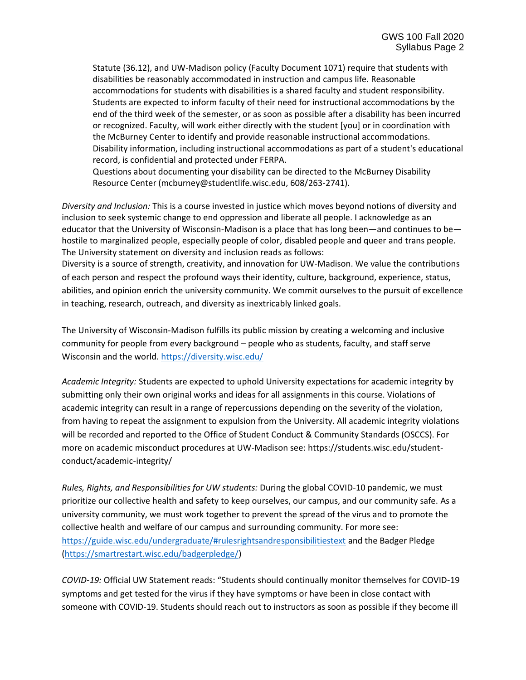Statute (36.12), and UW-Madison policy (Faculty Document 1071) require that students with disabilities be reasonably accommodated in instruction and campus life. Reasonable accommodations for students with disabilities is a shared faculty and student responsibility. Students are expected to inform faculty of their need for instructional accommodations by the end of the third week of the semester, or as soon as possible after a disability has been incurred or recognized. Faculty, will work either directly with the student [you] or in coordination with the McBurney Center to identify and provide reasonable instructional accommodations. Disability information, including instructional accommodations as part of a student's educational record, is confidential and protected under FERPA.

Questions about documenting your disability can be directed to the McBurney Disability Resource Center (mcburney@studentlife.wisc.edu, 608/263-2741).

*Diversity and Inclusion:* This is a course invested in justice which moves beyond notions of diversity and inclusion to seek systemic change to end oppression and liberate all people. I acknowledge as an educator that the University of Wisconsin-Madison is a place that has long been—and continues to be hostile to marginalized people, especially people of color, disabled people and queer and trans people. The University statement on diversity and inclusion reads as follows:

Diversity is a source of strength, creativity, and innovation for UW-Madison. We value the contributions of each person and respect the profound ways their identity, culture, background, experience, status, abilities, and opinion enrich the university community. We commit ourselves to the pursuit of excellence in teaching, research, outreach, and diversity as inextricably linked goals.

The University of Wisconsin-Madison fulfills its public mission by creating a welcoming and inclusive community for people from every background – people who as students, faculty, and staff serve Wisconsin and the world. <https://diversity.wisc.edu/>

*Academic Integrity:* Students are expected to uphold University expectations for academic integrity by submitting only their own original works and ideas for all assignments in this course. Violations of academic integrity can result in a range of repercussions depending on the severity of the violation, from having to repeat the assignment to expulsion from the University. All academic integrity violations will be recorded and reported to the Office of Student Conduct & Community Standards (OSCCS). For more on academic misconduct procedures at UW-Madison see: https://students.wisc.edu/studentconduct/academic-integrity/

*Rules, Rights, and Responsibilities for UW students:* During the global COVID-10 pandemic, we must prioritize our collective health and safety to keep ourselves, our campus, and our community safe. As a university community, we must work together to prevent the spread of the virus and to promote the collective health and welfare of our campus and surrounding community. For more see: <https://guide.wisc.edu/undergraduate/#rulesrightsandresponsibilitiestext> and the Badger Pledge [\(https://smartrestart.wisc.edu/badgerpledge/\)](https://smartrestart.wisc.edu/badgerpledge/)

*COVID-19:* Official UW Statement reads: "Students should continually monitor themselves for COVID-19 symptoms and get tested for the virus if they have symptoms or have been in close contact with someone with COVID-19. Students should reach out to instructors as soon as possible if they become ill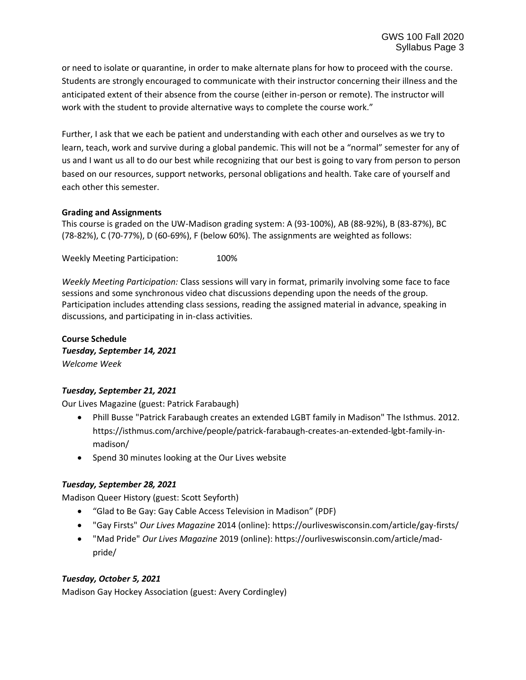or need to isolate or quarantine, in order to make alternate plans for how to proceed with the course. Students are strongly encouraged to communicate with their instructor concerning their illness and the anticipated extent of their absence from the course (either in-person or remote). The instructor will work with the student to provide alternative ways to complete the course work."

Further, I ask that we each be patient and understanding with each other and ourselves as we try to learn, teach, work and survive during a global pandemic. This will not be a "normal" semester for any of us and I want us all to do our best while recognizing that our best is going to vary from person to person based on our resources, support networks, personal obligations and health. Take care of yourself and each other this semester.

#### **Grading and Assignments**

This course is graded on the UW-Madison grading system: A (93-100%), AB (88-92%), B (83-87%), BC (78-82%), C (70-77%), D (60-69%), F (below 60%). The assignments are weighted as follows:

Weekly Meeting Participation: 100%

*Weekly Meeting Participation:* Class sessions will vary in format, primarily involving some face to face sessions and some synchronous video chat discussions depending upon the needs of the group. Participation includes attending class sessions, reading the assigned material in advance, speaking in discussions, and participating in in-class activities.

**Course Schedule** *Tuesday, September 14, 2021 Welcome Week*

### *Tuesday, September 21, 2021*

Our Lives Magazine (guest: Patrick Farabaugh)

- Phill Busse "Patrick Farabaugh creates an extended LGBT family in Madison" The Isthmus. 2012. https://isthmus.com/archive/people/patrick-farabaugh-creates-an-extended-lgbt-family-inmadison/
- Spend 30 minutes looking at the Our Lives website

### *Tuesday, September 28, 2021*

Madison Queer History (guest: Scott Seyforth)

- "Glad to Be Gay: Gay Cable Access Television in Madison" (PDF)
- "Gay Firsts" *Our Lives Magazine* 2014 (online): https://ourliveswisconsin.com/article/gay-firsts/
- "Mad Pride" *Our Lives Magazine* 2019 (online): https://ourliveswisconsin.com/article/madpride/

### *Tuesday, October 5, 2021*

Madison Gay Hockey Association (guest: Avery Cordingley)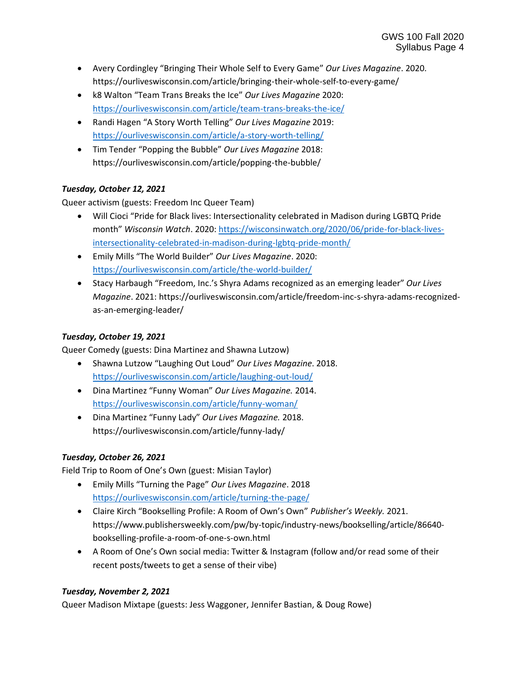- Avery Cordingley "Bringing Their Whole Self to Every Game" *Our Lives Magazine*. 2020. https://ourliveswisconsin.com/article/bringing-their-whole-self-to-every-game/
- k8 Walton "Team Trans Breaks the Ice" *Our Lives Magazine* 2020: <https://ourliveswisconsin.com/article/team-trans-breaks-the-ice/>
- Randi Hagen "A Story Worth Telling" *Our Lives Magazine* 2019: <https://ourliveswisconsin.com/article/a-story-worth-telling/>
- Tim Tender "Popping the Bubble" *Our Lives Magazine* 2018: https://ourliveswisconsin.com/article/popping-the-bubble/

# *Tuesday, October 12, 2021*

Queer activism (guests: Freedom Inc Queer Team)

- Will Cioci "Pride for Black lives: Intersectionality celebrated in Madison during LGBTQ Pride month" *Wisconsin Watch*. 2020: [https://wisconsinwatch.org/2020/06/pride-for-black-lives](https://wisconsinwatch.org/2020/06/pride-for-black-lives-intersectionality-celebrated-in-madison-during-lgbtq-pride-month/)[intersectionality-celebrated-in-madison-during-lgbtq-pride-month/](https://wisconsinwatch.org/2020/06/pride-for-black-lives-intersectionality-celebrated-in-madison-during-lgbtq-pride-month/)
- Emily Mills "The World Builder" *Our Lives Magazine*. 2020: <https://ourliveswisconsin.com/article/the-world-builder/>
- Stacy Harbaugh "Freedom, Inc.'s Shyra Adams recognized as an emerging leader" *Our Lives Magazine*. 2021: https://ourliveswisconsin.com/article/freedom-inc-s-shyra-adams-recognizedas-an-emerging-leader/

### *Tuesday, October 19, 2021*

Queer Comedy (guests: Dina Martinez and Shawna Lutzow)

- Shawna Lutzow "Laughing Out Loud" *Our Lives Magazine*. 2018. <https://ourliveswisconsin.com/article/laughing-out-loud/>
- Dina Martinez "Funny Woman" *Our Lives Magazine.* 2014. <https://ourliveswisconsin.com/article/funny-woman/>
- Dina Martinez "Funny Lady" *Our Lives Magazine.* 2018. https://ourliveswisconsin.com/article/funny-lady/

### *Tuesday, October 26, 2021*

Field Trip to Room of One's Own (guest: Misian Taylor)

- Emily Mills "Turning the Page" *Our Lives Magazine*. 2018 <https://ourliveswisconsin.com/article/turning-the-page/>
- Claire Kirch "Bookselling Profile: A Room of Own's Own" *Publisher's Weekly.* 2021. https://www.publishersweekly.com/pw/by-topic/industry-news/bookselling/article/86640 bookselling-profile-a-room-of-one-s-own.html
- A Room of One's Own social media: Twitter & Instagram (follow and/or read some of their recent posts/tweets to get a sense of their vibe)

### *Tuesday, November 2, 2021*

Queer Madison Mixtape (guests: Jess Waggoner, Jennifer Bastian, & Doug Rowe)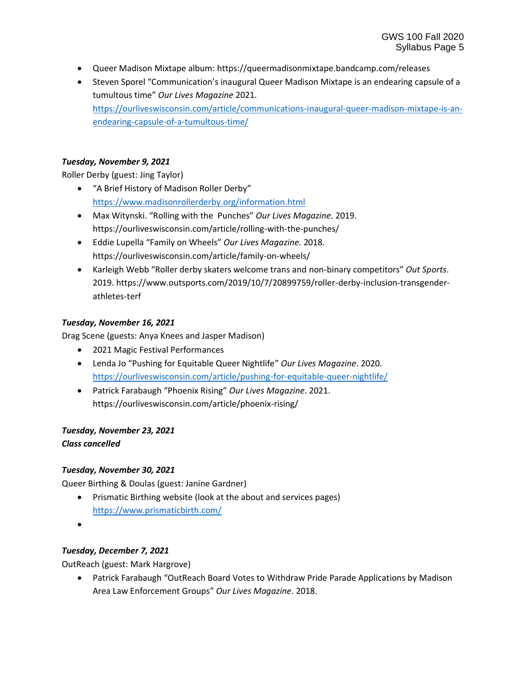- Queer Madison Mixtape album: https://queermadisonmixtape.bandcamp.com/releases
- Steven Sporel "Communication's inaugural Queer Madison Mixtape is an endearing capsule of a tumultous time" *Our Lives Magazine* 2021. [https://ourliveswisconsin.com/article/communications-inaugural-queer-madison-mixtape-is-an](https://ourliveswisconsin.com/article/communications-inaugural-queer-madison-mixtape-is-an-endearing-capsule-of-a-tumultous-time/)[endearing-capsule-of-a-tumultous-time/](https://ourliveswisconsin.com/article/communications-inaugural-queer-madison-mixtape-is-an-endearing-capsule-of-a-tumultous-time/)

## *Tuesday, November 9, 2021*

Roller Derby (guest: Jing Taylor)

- "A Brief History of Madison Roller Derby" <https://www.madisonrollerderby.org/information.html>
- Max Witynski. "Rolling with the Punches" *Our Lives Magazine.* 2019. https://ourliveswisconsin.com/article/rolling-with-the-punches/
- Eddie Lupella "Family on Wheels" *Our Lives Magazine.* 2018. https://ourliveswisconsin.com/article/family-on-wheels/
- Karleigh Webb "Roller derby skaters welcome trans and non-binary competitors" *Out Sports*. 2019. https://www.outsports.com/2019/10/7/20899759/roller-derby-inclusion-transgenderathletes-terf

## *Tuesday, November 16, 2021*

Drag Scene (guests: Anya Knees and Jasper Madison)

- 2021 Magic Festival Performances
- Lenda Jo "Pushing for Equitable Queer Nightlife" *Our Lives Magazine*. 2020. <https://ourliveswisconsin.com/article/pushing-for-equitable-queer-nightlife/>
- Patrick Farabaugh "Phoenix Rising" *Our Lives Magazine*. 2021. https://ourliveswisconsin.com/article/phoenix-rising/

# *Tuesday, November 23, 2021*

# *Class cancelled*

# *Tuesday, November 30, 2021*

Queer Birthing & Doulas (guest: Janine Gardner)

- Prismatic Birthing website (look at the about and services pages) <https://www.prismaticbirth.com/>
- •

# *Tuesday, December 7, 2021*

OutReach (guest: Mark Hargrove)

• Patrick Farabaugh "OutReach Board Votes to Withdraw Pride Parade Applications by Madison Area Law Enforcement Groups" *Our Lives Magazine*. 2018.